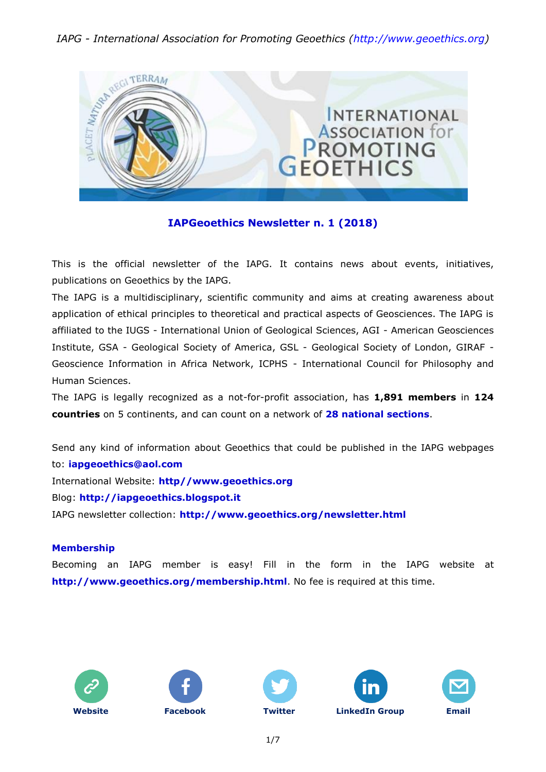#### *IAPG - International Association for Promoting Geoethics [\(http://www.geoethics.org\)](http://www.geoethics.org/)*



#### **IAPGeoethics Newsletter n. 1 (2018)**

This is the official newsletter of the IAPG. It contains news about events, initiatives, publications on Geoethics by the IAPG.

The IAPG is a multidisciplinary, scientific community and aims at creating awareness about application of ethical principles to theoretical and practical aspects of Geosciences. The IAPG is affiliated to the IUGS - International Union of Geological Sciences, AGI - American Geosciences Institute, GSA - Geological Society of America, GSL - Geological Society of London, GIRAF - Geoscience Information in Africa Network, ICPHS - International Council for Philosophy and Human Sciences.

The IAPG is legally recognized as a not-for-profit association, has **1,891 members** in **124 countries** on 5 continents, and can count on a network of **28 national [sections](http://www.geoethics.org/sections.html)**.

Send any kind of information about Geoethics that could be published in the IAPG webpages to: **[iapgeoethics@aol.com](mailto:iapgeoethics@aol.com?subject=IAPG%20newsletter)** International Website: **[http//www.geoethics.org](http://www.geoethics.org/)** Blog: **[http://iapgeoethics.blogspot.it](http://iapgeoethics.blogspot.it/)** IAPG newsletter collection: **<http://www.geoethics.org/newsletter.html>**

#### **Membership**

Becoming an IAPG member is easy! Fill in the form in the IAPG website at **<http://www.geoethics.org/membership.html>**. No fee is required at this time.











1/7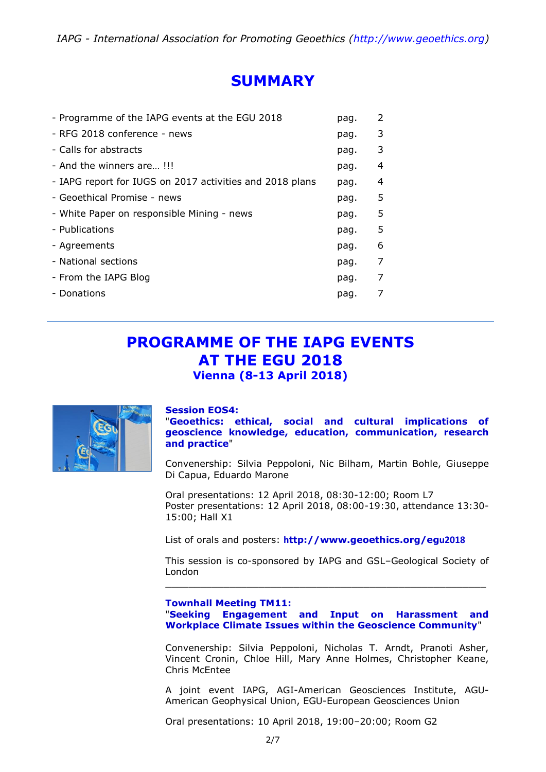# **SUMMARY**

| - Programme of the IAPG events at the EGU 2018           | pag. | 2 |
|----------------------------------------------------------|------|---|
| - RFG 2018 conference - news                             | pag. | 3 |
| - Calls for abstracts                                    | pag. | 3 |
| - And the winners are!!!                                 | pag. | 4 |
| - IAPG report for IUGS on 2017 activities and 2018 plans | pag. | 4 |
| - Geoethical Promise - news                              | pag. | 5 |
| - White Paper on responsible Mining - news               | pag. | 5 |
| - Publications                                           | pag. | 5 |
| - Agreements                                             | pag. | 6 |
| - National sections                                      | pag. | 7 |
| - From the IAPG Blog                                     | pag. | 7 |
| - Donations                                              | pag. |   |
|                                                          |      |   |

### **PROGRAMME OF THE IAPG EVENTS AT THE EGU 2018 Vienna (8-13 April 2018)**



#### **Session EOS4:**

"**Geoethics: ethical, social and cultural implications of geoscience knowledge, education, communication, research and practice**"

Convenership: Silvia Peppoloni, Nic Bilham, Martin Bohle, Giuseppe Di Capua, Eduardo Marone

Oral presentations: 12 April 2018, 08:30-12:00; Room L7 Poster presentations: 12 April 2018, 08:00-19:30, attendance 13:30- 15:00; Hall X1

List of orals and posters: **h[ttp://www.geoethics.org/eg](http://www.geoethics.org/egu2018)u2018**

This session is co-sponsored by IAPG and GSL–Geological Society of London \_\_\_\_\_\_\_\_\_\_\_\_\_\_\_\_\_\_\_\_\_\_\_\_\_\_\_\_\_\_\_\_\_\_\_\_\_\_\_\_\_\_\_\_\_\_\_\_\_\_\_\_\_\_\_

#### **Townhall Meeting TM11:**  "**Seeking Engagement and Input on Harassment and Workplace Climate Issues within the Geoscience Community**"

Convenership: Silvia Peppoloni, Nicholas T. Arndt, Pranoti Asher, Vincent Cronin, Chloe Hill, Mary Anne Holmes, Christopher Keane, Chris McEntee

A joint event IAPG, AGI-American Geosciences Institute, AGU-American Geophysical Union, EGU-European Geosciences Union

Oral presentations: 10 April 2018, 19:00–20:00; Room G2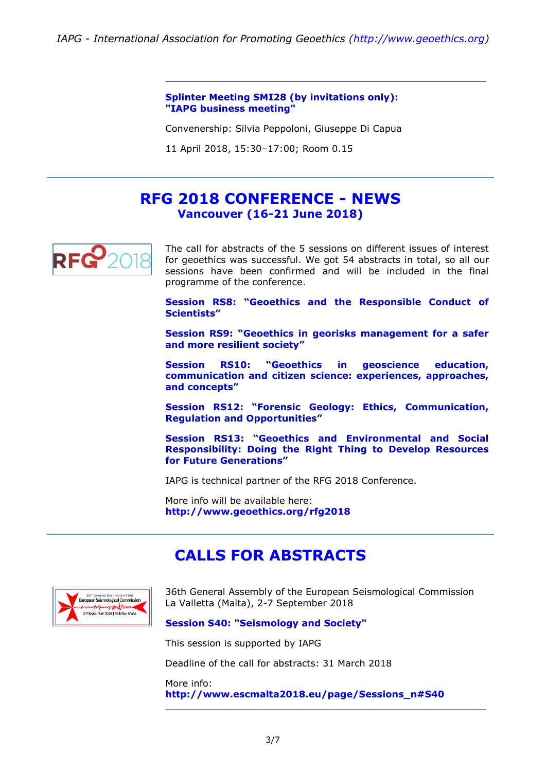**Splinter Meeting SMI28 (by invitations only): "IAPG business meeting"**

Convenership: Silvia Peppoloni, Giuseppe Di Capua

11 April 2018, 15:30–17:00; Room 0.15

### **RFG 2018 CONFERENCE - NEWS Vancouver (16-21 June 2018)**



The call for abstracts of the 5 sessions on different issues of interest for geoethics was successful. We got 54 abstracts in total, so all our sessions have been confirmed and will be included in the final programme of the conference.

\_\_\_\_\_\_\_\_\_\_\_\_\_\_\_\_\_\_\_\_\_\_\_\_\_\_\_\_\_\_\_\_\_\_\_\_\_\_\_\_\_\_\_\_\_\_\_\_\_\_\_\_\_\_\_

**Session RS8: "Geoethics and the Responsible Conduct of Scientists"**

**Session RS9: "Geoethics in georisks management for a safer and more resilient society"**

**Session RS10: "Geoethics in geoscience education, communication and citizen science: experiences, approaches, and concepts"**

**Session RS12: "Forensic Geology: Ethics, Communication, Regulation and Opportunities"**

**Session RS13: "Geoethics and Environmental and Social Responsibility: Doing the Right Thing to Develop Resources for Future Generations"**

IAPG is technical partner of the RFG 2018 Conference.

More info will be available here: **<http://www.geoethics.org/rfg2018>**

### **CALLS FOR ABSTRACTS**



36th General Assembly of the European Seismological Commission La Valletta (Malta), 2-7 September 2018

#### **Session S40: "Seismology and Society"**

This session is supported by IAPG

Deadline of the call for abstracts: 31 March 2018

More info: **[http://www.escmalta2018.eu/page/Sessions\\_n#S40](http://www.escmalta2018.eu/page/Sessions_n#S40)**

\_\_\_\_\_\_\_\_\_\_\_\_\_\_\_\_\_\_\_\_\_\_\_\_\_\_\_\_\_\_\_\_\_\_\_\_\_\_\_\_\_\_\_\_\_\_\_\_\_\_\_\_\_\_\_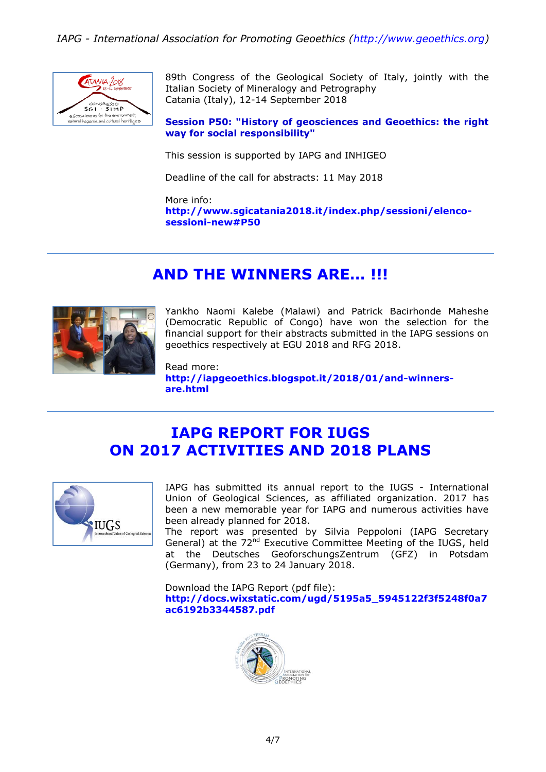

89th Congress of the Geological Society of Italy, jointly with the Italian Society of Mineralogy and Petrography Catania (Italy), 12-14 September 2018

**Session P50: "History of geosciences and Geoethics: the right way for social responsibility"**

This session is supported by IAPG and INHIGEO

Deadline of the call for abstracts: 11 May 2018

More info: **[http://www.sgicatania2018.it/index.php/sessioni/elenco](http://www.sgicatania2018.it/index.php/sessioni/elenco-sessioni-new#P50)[sessioni-new#P50](http://www.sgicatania2018.it/index.php/sessioni/elenco-sessioni-new#P50)**

# **AND THE WINNERS ARE… !!!**



Yankho Naomi Kalebe (Malawi) and Patrick Bacirhonde Maheshe (Democratic Republic of Congo) have won the selection for the financial support for their abstracts submitted in the IAPG sessions on geoethics respectively at EGU 2018 and RFG 2018.

Read more: **[http://iapgeoethics.blogspot.it/2018/01/and-winners](http://iapgeoethics.blogspot.it/2018/01/and-winners-are.html)[are.html](http://iapgeoethics.blogspot.it/2018/01/and-winners-are.html)**

# **IAPG REPORT FOR IUGS ON 2017 ACTIVITIES AND 2018 PLANS**



IAPG has submitted its annual report to the IUGS - International Union of Geological Sciences, as affiliated organization. 2017 has been a new memorable year for IAPG and numerous activities have been already planned for 2018.

The report was presented by Silvia Peppoloni (IAPG Secretary General) at the 72<sup>nd</sup> Executive Committee Meeting of the IUGS, held at the Deutsches GeoforschungsZentrum (GFZ) in Potsdam (Germany), from 23 to 24 January 2018.

Download the IAPG Report (pdf file): **[http://docs.wixstatic.com/ugd/5195a5\\_5945122f3f5248f0a7](http://docs.wixstatic.com/ugd/5195a5_5945122f3f5248f0a7ac6192b3344587.pdf) [ac6192b3344587.pdf](http://docs.wixstatic.com/ugd/5195a5_5945122f3f5248f0a7ac6192b3344587.pdf)**

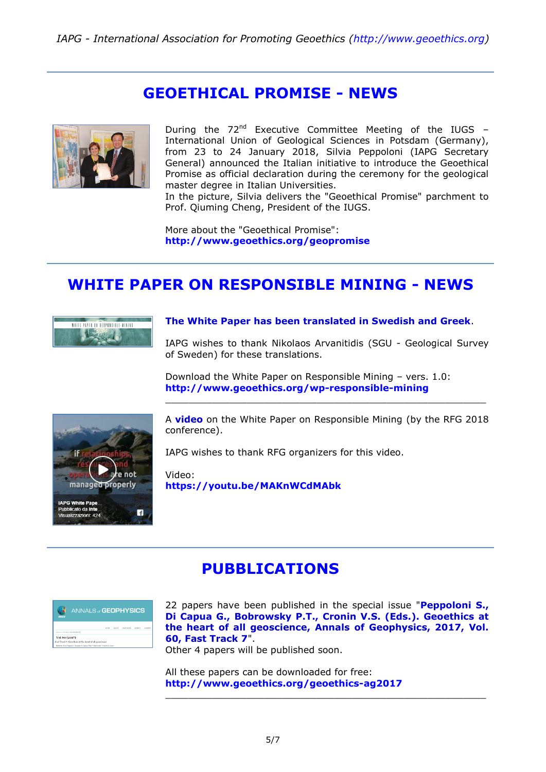### **GEOETHICAL PROMISE - NEWS**



During the  $72^{nd}$  Executive Committee Meeting of the IUGS – International Union of Geological Sciences in Potsdam (Germany), from 23 to 24 January 2018, Silvia Peppoloni (IAPG Secretary General) announced the Italian initiative to introduce the Geoethical Promise as official declaration during the ceremony for the geological master degree in Italian Universities.

In the picture, Silvia delivers the "Geoethical Promise" parchment to Prof. Qiuming Cheng, President of the IUGS.

More about the "Geoethical Promise": **<http://www.geoethics.org/geopromise>**

# **WHITE PAPER ON RESPONSIBLE MINING - NEWS**



#### **The White Paper has been translated in Swedish and Greek**.

IAPG wishes to thank Nikolaos Arvanitidis (SGU - Geological Survey of Sweden) for these translations.

Download the White Paper on Responsible Mining – vers. 1.0: **<http://www.geoethics.org/wp-responsible-mining>**



A **video** on the White Paper on Responsible Mining (by the RFG 2018 conference).

\_\_\_\_\_\_\_\_\_\_\_\_\_\_\_\_\_\_\_\_\_\_\_\_\_\_\_\_\_\_\_\_\_\_\_\_\_\_\_\_\_\_\_\_\_\_\_\_\_\_\_\_\_\_\_

IAPG wishes to thank RFG organizers for this video.

Video: **<https://youtu.be/MAKnWCdMAbk>**

### **PUBBLICATIONS**

| <b>ANNALS of GEOPHYSICS</b><br><b>INGV</b> |                                                                                    |  |  |  |  |               |         |  |  |
|--------------------------------------------|------------------------------------------------------------------------------------|--|--|--|--|---------------|---------|--|--|
|                                            |                                                                                    |  |  |  |  | <b>SEARTS</b> | FUERING |  |  |
| Home a Antiques a Vol 68 (2012).           |                                                                                    |  |  |  |  |               |         |  |  |
| Vol 60 (2017)                              |                                                                                    |  |  |  |  |               |         |  |  |
|                                            | Fast Truck 7: Georthics at the heart of all geoscience                             |  |  |  |  |               |         |  |  |
|                                            | Edited by Silvie Repoloni, Guaepee Di Capus, Peter T. Editmielo, Vincent S. Cronin |  |  |  |  |               |         |  |  |

22 papers have been published in the special issue "**Peppoloni S., Di Capua G., Bobrowsky P.T., Cronin V.S. (Eds.). Geoethics at the heart of all geoscience, Annals of Geophysics, 2017, Vol. 60, Fast Track 7**".

\_\_\_\_\_\_\_\_\_\_\_\_\_\_\_\_\_\_\_\_\_\_\_\_\_\_\_\_\_\_\_\_\_\_\_\_\_\_\_\_\_\_\_\_\_\_\_\_\_\_\_\_\_\_\_

Other 4 papers will be published soon.

All these papers can be downloaded for free: **<http://www.geoethics.org/geoethics-ag2017>**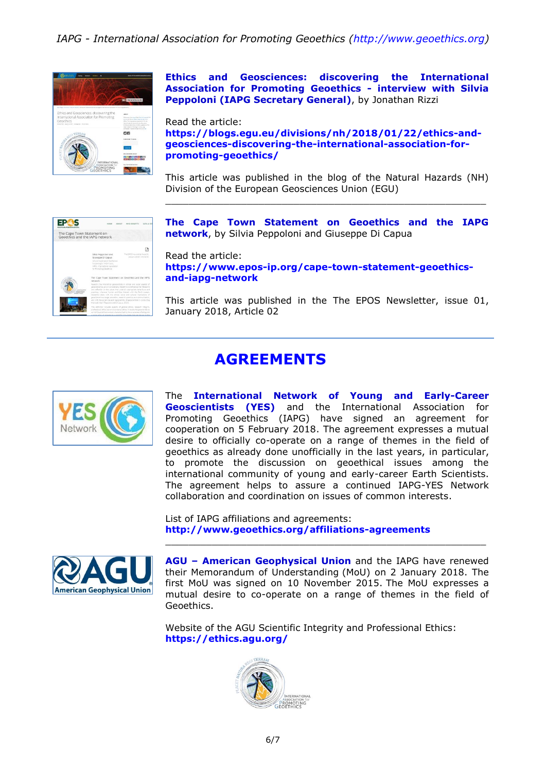*IAPG - International Association for Promoting Geoethics [\(http://www.geoethics.org\)](http://www.geoethics.org/)*



**Ethics and Geosciences: discovering the International Association for Promoting Geoethics - interview with Silvia Peppoloni (IAPG Secretary General)**, by Jonathan Rizzi

Read the article: **[https://blogs.egu.eu/divisions/nh/2018/01/22/ethics-and](https://blogs.egu.eu/divisions/nh/2018/01/22/ethics-and-geosciences-discovering-the-international-association-for-promoting-geoethics/)[geosciences-discovering-the-international-association-for](https://blogs.egu.eu/divisions/nh/2018/01/22/ethics-and-geosciences-discovering-the-international-association-for-promoting-geoethics/)[promoting-geoethics/](https://blogs.egu.eu/divisions/nh/2018/01/22/ethics-and-geosciences-discovering-the-international-association-for-promoting-geoethics/)**

This article was published in the blog of the Natural Hazards (NH) Division of the European Geosciences Union (EGU) \_\_\_\_\_\_\_\_\_\_\_\_\_\_\_\_\_\_\_\_\_\_\_\_\_\_\_\_\_\_\_\_\_\_\_\_\_\_\_\_\_\_\_\_\_\_\_\_\_\_\_\_\_\_\_



**The Cape Town Statement on Geoethics and the IAPG network**, by Silvia Peppoloni and Giuseppe Di Capua

Read the article:

**[https://www.epos-ip.org/cape-town-statement-geoethics](https://www.epos-ip.org/cape-town-statement-geoethics-and-iapg-network)[and-iapg-network](https://www.epos-ip.org/cape-town-statement-geoethics-and-iapg-network)**

This article was published in the The EPOS Newsletter, issue 01, January 2018, Article 02

# **AGREEMENTS**



The **International Network of Young and Early-Career Geoscientists (YES)** and the International Association for Promoting Geoethics (IAPG) have signed an agreement for cooperation on 5 February 2018. The agreement expresses a mutual desire to officially co-operate on a range of themes in the field of geoethics as already done unofficially in the last years, in particular, to promote the discussion on geoethical issues among the international community of young and early-career Earth Scientists. The agreement helps to assure a continued IAPG-YES Network collaboration and coordination on issues of common interests.

List of IAPG affiliations and agreements: **<http://www.geoethics.org/affiliations-agreements>**



**AGU – American Geophysical Union** and the IAPG have renewed their Memorandum of Understanding (MoU) on 2 January 2018. The first MoU was signed on 10 November 2015. The MoU expresses a mutual desire to co-operate on a range of themes in the field of Geoethics.

\_\_\_\_\_\_\_\_\_\_\_\_\_\_\_\_\_\_\_\_\_\_\_\_\_\_\_\_\_\_\_\_\_\_\_\_\_\_\_\_\_\_\_\_\_\_\_\_\_\_\_\_\_\_\_

Website of the AGU Scientific Integrity and Professional Ethics: **<https://ethics.agu.org/>**